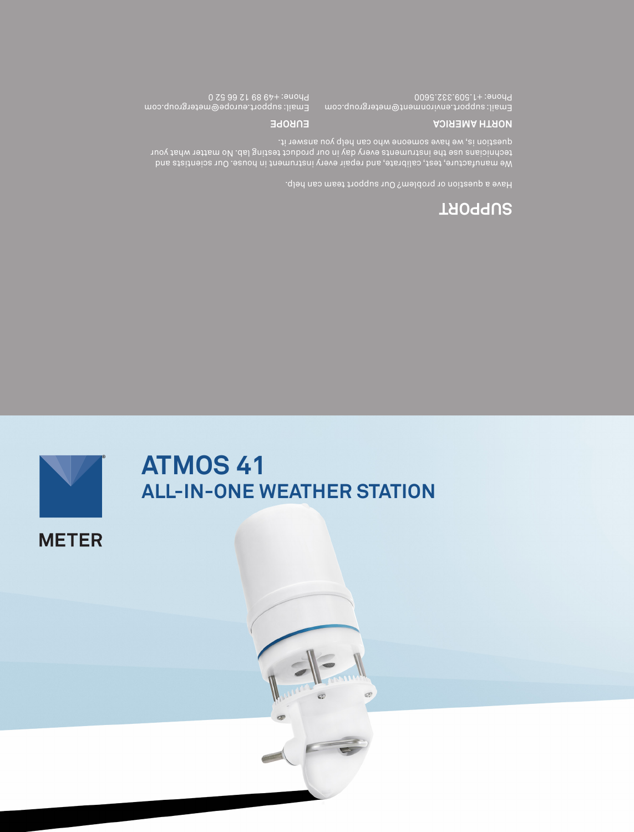

# **ATMOS 41 ALL-IN-ONE WEATHER STATION**

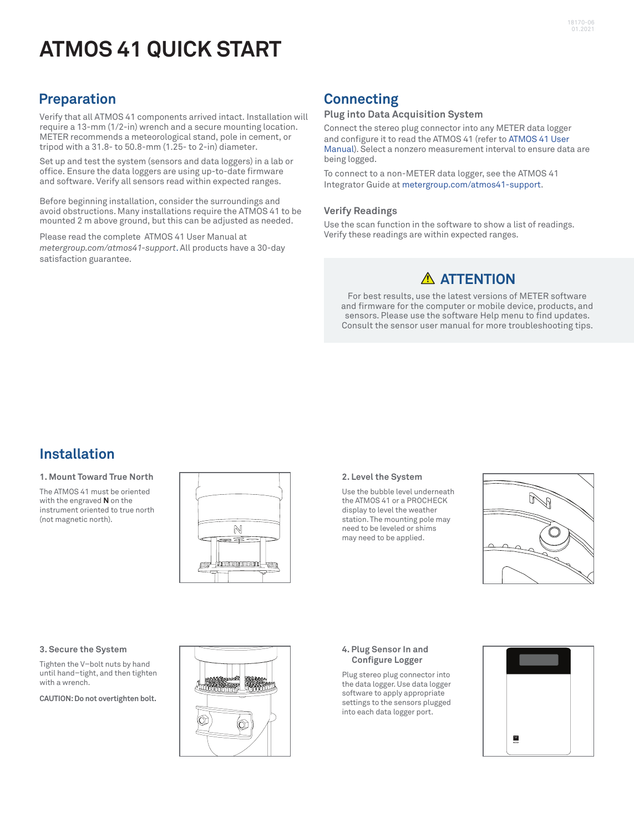# **ATMOS 41 QUICK START**

## **Preparation**

Verify that all ATMOS 41 components arrived intact. Installation will require a 13-mm (1/2-in) wrench and a secure mounting location. METER recommends a meteorological stand, pole in cement, or tripod with a 31.8- to 50.8-mm (1.25- to 2-in) diameter.

Set up and test the system (sensors and data loggers) in a lab or office. Ensure the data loggers are using up-to-date firmware and software. Verify all sensors read within expected ranges.

Before beginning installation, consider the surroundings and avoid obstructions. Many installations require the ATMOS 41 to be mounted 2 m above ground, but this can be adjusted as needed.

Please read the complete ATMOS 41 User Manual at *[metergroup.com/atmos41-support](https://www.metergroup.com/atmos41-support)*. All products have a 30-day satisfaction guarantee.

# **Connecting**

### **Plug into Data Acquisition System**

Connect the stereo plug connector into any METER data logger and configure it to read the ATMOS 41 (refer to [ATMOS 41 User](https://www.metergroup.com/atmos41-support)  [Manual\)](https://www.metergroup.com/atmos41-support). Select a nonzero measurement interval to ensure data are being logged.

To connect to a non-METER data logger, see the [ATMOS 41](https://www.metergroup.com/atmos41-support)  [Integrator Guide](https://www.metergroup.com/atmos41-support) at [metergroup.com/atmos41-support.](https://www.metergroup.com/atmos41-support)

### **Verify Readings**

Use the scan function in the software to show a list of readings. Verify these readings are within expected ranges.

### **ATTENTION**

For best results, use the latest versions of METER software and firmware for the computer or mobile device, products, and sensors. Please use the software Help menu to find updates. Consult the sensor user manual for more troubleshooting tips.

## **Installation**

#### **1. Mount Toward True North**

The ATMOS 41 must be oriented with the engraved **N** on the instrument oriented to true north (not magnetic north).



#### **2. Level the System**

Use the bubble level underneath the ATMOS 41 or a PROCHECK display to level the weather station. The mounting pole may need to be leveled or shims may need to be applied.



#### **3. Secure the System**

Tighten the V–bolt nuts by hand until hand–tight, and then tighten with a wrench.

**CAUTION: Do not overtighten bolt.**



#### **4. Plug Sensor In and Configure Logger**

Plug stereo plug connector into the data logger. Use data logger software to apply appropriate settings to the sensors plugged into each data logger port.